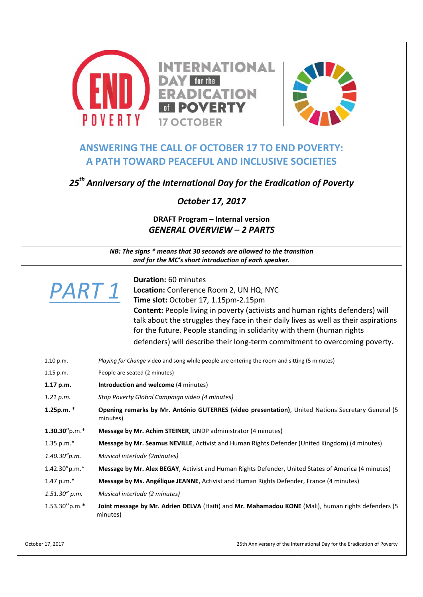

## **ANSWERING THE CALL OF OCTOBER 17 TO END POVERTY: A PATH TOWARD PEACEFUL AND INCLUSIVE SOCIETIES**



|                                   | October 17, 2017                                                                                                                                                             |
|-----------------------------------|------------------------------------------------------------------------------------------------------------------------------------------------------------------------------|
|                                   | <b>DRAFT Program - Internal version</b>                                                                                                                                      |
| <b>GENERAL OVERVIEW - 2 PARTS</b> |                                                                                                                                                                              |
|                                   | NB: The signs * means that 30 seconds are allowed to the transition<br>and for the MC's short introduction of each speaker.                                                  |
|                                   | <b>Duration: 60 minutes</b>                                                                                                                                                  |
| PART 1                            | Location: Conference Room 2, UN HQ, NYC                                                                                                                                      |
|                                   | Time slot: October 17, 1.15pm-2.15pm                                                                                                                                         |
|                                   | <b>Content:</b> People living in poverty (activists and human rights defenders) will<br>talk about the struggles they face in their daily lives as well as their aspirations |
|                                   | for the future. People standing in solidarity with them (human rights                                                                                                        |
|                                   | defenders) will describe their long-term commitment to overcoming poverty.                                                                                                   |
| 1.10 p.m.                         | Playing for Change video and song while people are entering the room and sitting (5 minutes)                                                                                 |
| $1.15$ p.m.                       | People are seated (2 minutes)                                                                                                                                                |
| 1.17 p.m.                         | Introduction and welcome (4 minutes)                                                                                                                                         |
| 1.21 p.m.                         | Stop Poverty Global Campaign video (4 minutes)                                                                                                                               |
| 1.25p.m. *                        | Opening remarks by Mr. António GUTERRES (video presentation), United Nations Secretary General (5<br>minutes)                                                                |
| $1.30.30"$ p.m.*                  | Message by Mr. Achim STEINER, UNDP administrator (4 minutes)                                                                                                                 |
| 1.35 p.m.*                        | Message by Mr. Seamus NEVILLE, Activist and Human Rights Defender (United Kingdom) (4 minutes)                                                                               |
| 1.40.30"p.m.                      | Musical interlude (2minutes)                                                                                                                                                 |
| 1.42.30"p.m.*                     | Message by Mr. Alex BEGAY, Activist and Human Rights Defender, United States of America (4 minutes)                                                                          |
| 1.47 p.m.*                        | Message by Ms. Angélique JEANNE, Activist and Human Rights Defender, France (4 minutes)                                                                                      |
| $1.51.30''$ p.m.                  | Musical interlude (2 minutes)                                                                                                                                                |
| 1.53.30"p.m.*                     | Joint message by Mr. Adrien DELVA (Haiti) and Mr. Mahamadou KONE (Mali), human rights defenders (5<br>minutes)                                                               |
| r 17, 2017                        | 25th Anniversary of the International Day for the Eradication of Poverty                                                                                                     |

October 17, 2017 25th Anniversary of the International Day for the Eradication of Poverty